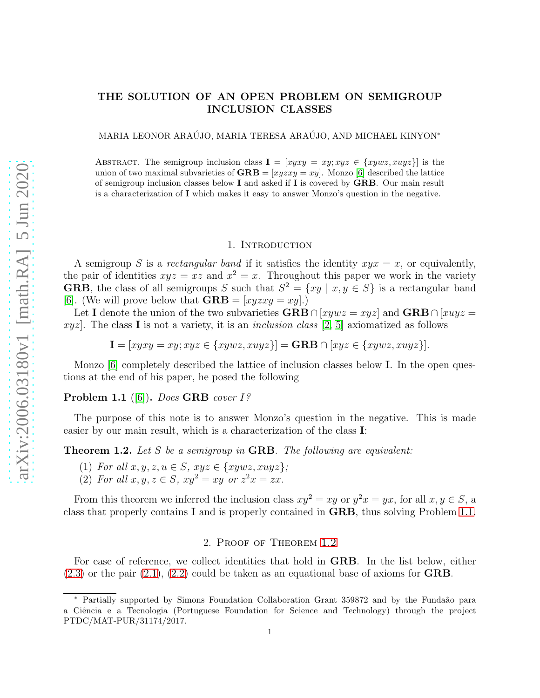# THE SOLUTION OF AN OPEN PROBLEM ON SEMIGROUP INCLUSION CLASSES

MARIA LEONOR ARAÚJO, MARIA TERESA ARAÚJO, AND MICHAEL KINYON $^{\ast}$ 

ABSTRACT. The semigroup inclusion class  $I = [xyxy = xy; xyz \in \{xywz, xuyz\}]$  is the union of two maximal subvarieties of  $\mathbf{GRB} = [xyzxy = xy]$ . Monzo [\[6\]](#page-4-0) described the lattice of semigroup inclusion classes below  $I$  and asked if  $I$  is covered by  $GRB$ . Our main result is a characterization of I which makes it easy to answer Monzo's question in the negative.

### 1. INTRODUCTION

A semigroup S is a rectangular band if it satisfies the identity  $xyz = x$ , or equivalently, the pair of identities  $xyz = xz$  and  $x^2 = x$ . Throughout this paper we work in the variety **GRB**, the class of all semigroups S such that  $S^2 = \{xy \mid x, y \in S\}$  is a rectangular band [\[6\]](#page-4-0). (We will prove below that  $\mathbf{GRB} = [xyzxy = xy]$ .)

Let I denote the union of the two subvarieties GRB ∩ [xywz = xyz] and GRB ∩ [xuyz = xyz. The class I is not a variety, it is an *inclusion class* [\[2,](#page-4-1) [5\]](#page-4-2) axiomatized as follows

 $I = [xyxy = xy; xyz \in \{xywz, xuyz\}] = \text{GRB} \cap [xyz \in \{xywz, xuyz\}].$ 

Monzo [\[6\]](#page-4-0) completely described the lattice of inclusion classes below I. In the open questions at the end of his paper, he posed the following

## <span id="page-0-0"></span>Problem 1.1 ([\[6\]](#page-4-0)). Does GRB cover 1?

The purpose of this note is to answer Monzo's question in the negative. This is made easier by our main result, which is a characterization of the class I:

<span id="page-0-1"></span>**Theorem 1.2.** Let S be a semigroup in **GRB**. The following are equivalent:

- (1) For all  $x, y, z, u \in S$ ,  $xyz \in \{xywz, xuyz\}$ ;
- (2) For all  $x, y, z \in S$ ,  $xy^2 = xy$  or  $z^2x = zx$ .

From this theorem we inferred the inclusion class  $xy^2 = xy$  or  $y^2x = yx$ , for all  $x, y \in S$ , a class that properly contains I and is properly contained in GRB, thus solving Problem [1.1.](#page-0-0)

## 2. Proof of Theorem [1.2](#page-0-1)

For ease of reference, we collect identities that hold in GRB. In the list below, either  $(2.3)$  or the pair  $(2.1)$ ,  $(2.2)$  could be taken as an equational base of axioms for **GRB**.

<sup>∗</sup> Partially supported by Simons Foundation Collaboration Grant 359872 and by the Funda˜ao para a Ciência e a Tecnologia (Portuguese Foundation for Science and Technology) through the project PTDC/MAT-PUR/31174/2017.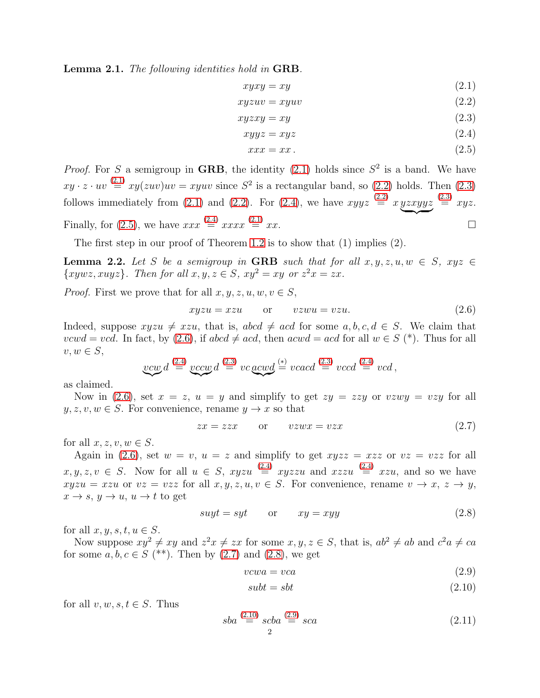Lemma 2.1. The following identities hold in GRB.

<span id="page-1-2"></span><span id="page-1-1"></span>
$$
xyxy = xy \tag{2.1}
$$

$$
xyzuv = xyuv \tag{2.2}
$$

$$
xyzxy = xy \tag{2.3}
$$

$$
xyyz = xyz \tag{2.4}
$$

<span id="page-1-4"></span><span id="page-1-3"></span><span id="page-1-0"></span>
$$
xxx = xx.
$$
\n<sup>(2.5)</sup>

*Proof.* For S a semigroup in GRB, the identity [\(2.1\)](#page-1-1) holds since  $S^2$  is a band. We have  $xy \cdot z \cdot uv \stackrel{(2.1)}{=} xy(zuv)uv = xyuv$  $xy \cdot z \cdot uv \stackrel{(2.1)}{=} xy(zuv)uv = xyuv$  $xy \cdot z \cdot uv \stackrel{(2.1)}{=} xy(zuv)uv = xyuv$  since  $S^2$  is a rectangular band, so [\(2.2\)](#page-1-2) holds. Then [\(2.3\)](#page-1-0) follows immediately from [\(2.1\)](#page-1-1) and [\(2.2\)](#page-1-2). For [\(2.4\)](#page-1-3), we have  $xyyz \stackrel{(2.2)}{=} x y z x y y z$  $xyyz \stackrel{(2.2)}{=} x y z x y y z$  $xyyz \stackrel{(2.2)}{=} x y z x y y z$  $\overbrace{\phantom{xx}}^{xx}$  $\stackrel{(2.3)}{=} xyz.$  $\stackrel{(2.3)}{=} xyz.$  $\stackrel{(2.3)}{=} xyz.$ Finally, for [\(2.5\)](#page-1-4), we have  $xxx \stackrel{(2.4)}{=} xxxx \stackrel{(2.1)}{=} xx.$  $xxx \stackrel{(2.4)}{=} xxxx \stackrel{(2.1)}{=} xx.$  $xxx \stackrel{(2.4)}{=} xxxx \stackrel{(2.1)}{=} xx.$  $xxx \stackrel{(2.4)}{=} xxxx \stackrel{(2.1)}{=} xx.$  $xxx \stackrel{(2.4)}{=} xxxx \stackrel{(2.1)}{=} xx.$ 

The first step in our proof of Theorem [1.2](#page-0-1) is to show that (1) implies (2).

<span id="page-1-11"></span>**Lemma 2.2.** Let S be a semigroup in GRB such that for all  $x, y, z, u, w \in S$ ,  $xyz \in$  $\{xywz, xuyz\}$ . Then for all  $x, y, z \in S$ ,  $xy^2 = xy$  or  $z^2x = zx$ .

*Proof.* First we prove that for all  $x, y, z, u, w, v \in S$ ,

<span id="page-1-5"></span>
$$
xyzu = xzu \qquad \text{or} \qquad vzwu = vzu. \tag{2.6}
$$

Indeed, suppose  $xyzu \neq xzu$ , that is,  $abcd \neq acd$  for some  $a, b, c, d \in S$ . We claim that vcwd = vcd. In fact, by [\(2.6\)](#page-1-5), if abcd  $\neq acd$ , then  $acwd = acd$  for all  $w \in S$  (\*). Thus for all  $v, w \in S$ ,

$$
\underbrace{vcw}d\stackrel{\text{(2.4)}}{=}\underbrace{vccw}d\stackrel{\text{(2.3)}}{=}vc\underbrace{acwd}\stackrel{\text{(*)}}{=}vcacd\stackrel{\text{(2.3)}}{=}vccd\stackrel{\text{(2.4)}}{=}vcd\,,
$$

as claimed.

Now in [\(2.6\)](#page-1-5), set  $x = z$ ,  $u = y$  and simplify to get  $zy = zzy$  or  $vzwy = vzy$  for all  $y, z, v, w \in S$ . For convenience, rename  $y \to x$  so that

<span id="page-1-6"></span>
$$
zx = zzx \qquad \text{or} \qquad vzwx = vzx \tag{2.7}
$$

for all  $x, z, v, w \in S$ .

Again in [\(2.6\)](#page-1-5), set  $w = v$ ,  $u = z$  and simplify to get  $xyzz = xzz$  or  $vz = vzz$  for all  $x, y, z, v \in S$ . Now for all  $u \in S$ ,  $xyzu \stackrel{(2.4)}{=} xyzzu$  $xyzu \stackrel{(2.4)}{=} xyzzu$  $xyzu \stackrel{(2.4)}{=} xyzzu$  and  $xzzu \stackrel{(2.4)}{=} xzu$ , and so we have  $xyzu = xzu$  or  $vz = vzz$  for all  $x, y, z, u, v \in S$ . For convenience, rename  $v \to x, z \to y$ ,  $x \to s$ ,  $y \to u$ ,  $u \to t$  to get

<span id="page-1-7"></span>
$$
suyt = syt \qquad \text{or} \qquad xy = xyy \tag{2.8}
$$

for all  $x, y, s, t, u \in S$ .

Now suppose  $xy^2 \neq xy$  and  $z^2x \neq zx$  for some  $x, y, z \in S$ , that is,  $ab^2 \neq ab$  and  $c^2a \neq ca$ for some  $a, b, c \in S$  (\*\*). Then by [\(2.7\)](#page-1-6) and [\(2.8\)](#page-1-7), we get

$$
vcwa = vca \tag{2.9}
$$

<span id="page-1-9"></span><span id="page-1-8"></span>
$$
subt = sbt \tag{2.10}
$$

for all  $v, w, s, t \in S$ . Thus

<span id="page-1-10"></span>
$$
sba \stackrel{(2.10)}{=} scba \stackrel{(2.9)}{=} sca \tag{2.11}
$$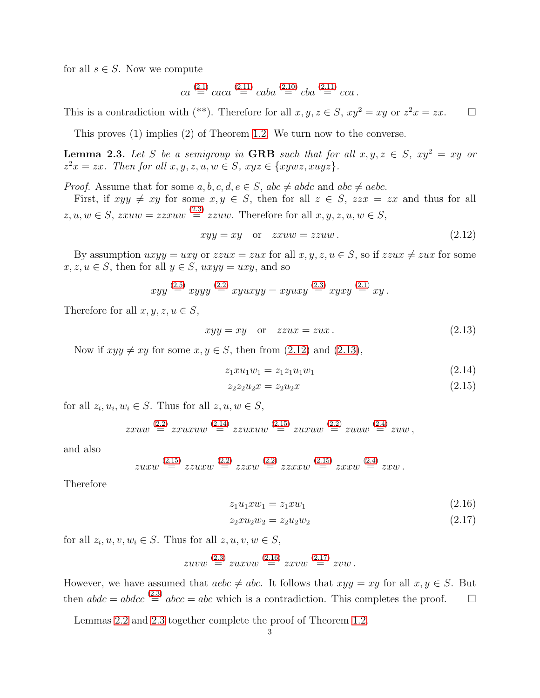for all  $s \in S$ . Now we compute

$$
ca \stackrel{(2.1)}{=} caca \stackrel{(2.11)}{=} caba \stackrel{(2.10)}{=} cba \stackrel{(2.11)}{=} cca.
$$

This is a contradiction with (\*\*). Therefore for all  $x, y, z \in S$ ,  $xy^2 = xy$  or  $z^2x = zx$ .  $\Box$ 

This proves (1) implies (2) of Theorem [1.2.](#page-0-1) We turn now to the converse.

<span id="page-2-6"></span>**Lemma 2.3.** Let S be a semigroup in GRB such that for all  $x, y, z \in S$ ,  $xy^2 = xy$  or  $z^2x = zx$ . Then for all  $x, y, z, u, w \in S$ ,  $xyz \in \{xywz, xuyz\}$ .

*Proof.* Assume that for some  $a, b, c, d, e \in S$ ,  $abc \neq abdc$  and  $abc \neq aebc$ .

First, if  $xyy \neq xy$  for some  $x, y \in S$ , then for all  $z \in S$ ,  $zzx = zx$  and thus for all  $z, u, w \in S$ ,  $zxuw = zzxuw \stackrel{(2.3)}{=} zzuw$  $zxuw = zzxuw \stackrel{(2.3)}{=} zzuw$  $zxuw = zzxuw \stackrel{(2.3)}{=} zzuw$ . Therefore for all  $x, y, z, u, w \in S$ ,

<span id="page-2-0"></span>
$$
xyy = xy \quad \text{or} \quad zxuw = zzuw. \tag{2.12}
$$

By assumption  $uxyy = uxy$  or  $zzux = zux$  for all  $x, y, z, u \in S$ , so if  $zzux \neq zux$  for some  $x, z, u \in S$ , then for all  $y \in S$ ,  $uxyy = uxy$ , and so

$$
xyy \stackrel{(2.5)}{=} xyyy \stackrel{(2.2)}{=} xyuxyy = xyuxy \stackrel{(2.3)}{=} xyxy \stackrel{(2.1)}{=} xy.
$$

Therefore for all  $x, y, z, u \in S$ ,

<span id="page-2-1"></span>
$$
xyy = xy \quad \text{or} \quad zzux = zux. \tag{2.13}
$$

Now if  $xyy \neq xy$  for some  $x, y \in S$ , then from [\(2.12\)](#page-2-0) and [\(2.13\)](#page-2-1),

$$
z_1 x u_1 w_1 = z_1 z_1 u_1 w_1 \tag{2.14}
$$

<span id="page-2-3"></span><span id="page-2-2"></span>
$$
z_2 z_2 u_2 x = z_2 u_2 x \tag{2.15}
$$

for all  $z_i, u_i, w_i \in S$ . Thus for all  $z, u, w \in S$ ,

$$
z x u w \stackrel{(2.2)}{=} z x u x u w \stackrel{(2.14)}{=} z z u x u w \stackrel{(2.15)}{=} z u x u w \stackrel{(2.2)}{=} z u u w,
$$

and also

$$
zuxw \stackrel{(2.15)}{=} zzuxw \stackrel{(2.2)}{=} zzxw \stackrel{(2.2)}{=} zzxxw \stackrel{(2.15)}{=} zxxw \stackrel{(2.4)}{=} zxw.
$$

Therefore

<span id="page-2-5"></span><span id="page-2-4"></span>
$$
z_1 u_1 x w_1 = z_1 x w_1 \tag{2.16}
$$

$$
z_2 x u_2 w_2 = z_2 u_2 w_2 \tag{2.17}
$$

for all  $z_i, u, v, w_i \in S$ . Thus for all  $z, u, v, w \in S$ ,

$$
zuvw \stackrel{(2.3)}{=} zuxvw \stackrel{(2.16)}{=} zxvw \stackrel{(2.17)}{=} zvw.
$$

However, we have assumed that  $aebc \neq abc$ . It follows that  $xyy = xy$  for all  $x, y \in S$ . But then  $abdc = abdcc \stackrel{(2.3)}{=} abcc = abc$  $abdc = abdcc \stackrel{(2.3)}{=} abcc = abc$  $abdc = abdcc \stackrel{(2.3)}{=} abcc = abc$  which is a contradiction. This completes the proof.  $\square$ 

Lemmas [2.2](#page-1-11) and [2.3](#page-2-6) together complete the proof of Theorem [1.2.](#page-0-1)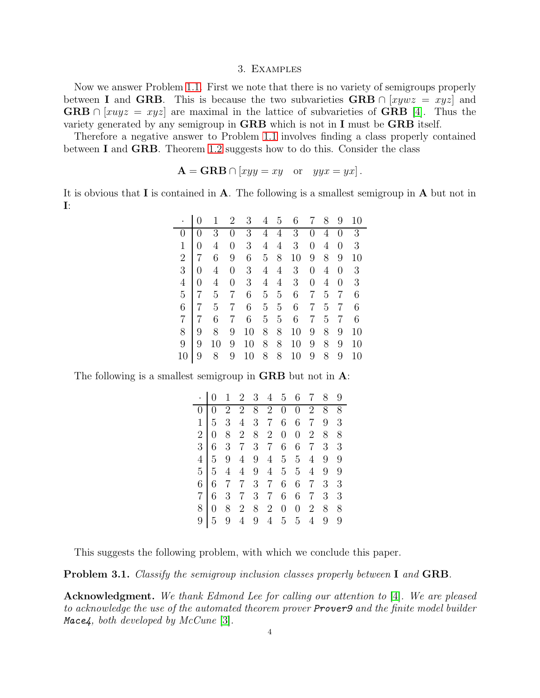### 3. Examples

Now we answer Problem [1.1.](#page-0-0) First we note that there is no variety of semigroups properly between I and GRB. This is because the two subvarieties GRB  $\cap$  [xywz = xyz] and **GRB**  $\cap$  [xuyz = xyz] are maximal in the lattice of subvarieties of **GRB** [\[4\]](#page-4-3). Thus the variety generated by any semigroup in GRB which is not in I must be GRB itself.

Therefore a negative answer to Problem [1.1](#page-0-0) involves finding a class properly contained between I and GRB. Theorem [1.2](#page-0-1) suggests how to do this. Consider the class

$$
\mathbf{A} = \mathbf{GRB} \cap [xyy = xy \quad \text{or} \quad yyx = yx].
$$

It is obvious that  $\bf{I}$  is contained in  $\bf{A}$ . The following is a smallest semigroup in  $\bf{A}$  but not in I:

|                |                |    | $\overline{2}$   | 3  | 4              | 5              | 6  |                | 8 | 9              | 10 |
|----------------|----------------|----|------------------|----|----------------|----------------|----|----------------|---|----------------|----|
| 0              | 0              | 3  |                  | 3  | $\overline{4}$ | $\overline{4}$ | 3  | 0              | 4 | $\overline{0}$ | 3  |
| $\mathbf{1}$   | 0              | 4  | 0                | 3  | $\overline{4}$ | 4              | 3  | $\overline{0}$ | 4 | $\overline{0}$ | 3  |
| $\overline{2}$ | 7              | 6  | 9                | 6  | $\overline{5}$ | 8              | 10 | 9              | 8 | 9              | 10 |
| 3              | $\overline{0}$ | 4  | $\boldsymbol{0}$ | 3  | $\overline{4}$ | 4              | 3  | $\overline{0}$ | 4 | $\overline{0}$ | 3  |
| $\overline{4}$ | 0              | 4  | 0                | 3  | 4              | 4              | 3  | $\overline{0}$ | 4 | $\overline{0}$ | 3  |
| $\overline{5}$ |                | 5  | 7                | 6  | 5              | 5              | 6  | 7              | 5 | 7              | 6  |
| 6              |                | 5  |                  | 6  | $\overline{5}$ | 5              | 6  | 7              | 5 | 7              | 6  |
| 7              |                | 6  |                  | 6  | $\overline{5}$ | 5              | 6  | 7              | 5 | 7              | 6  |
| 8              | 9              | 8  | 9                | 10 | 8              | 8              | 10 | 9              | 8 | 9              | 10 |
| 9              | 9              | 10 | 9                | 10 | 8              | 8              | 10 | 9              | 8 | 9              | 10 |
| 10             | 9              | 8  | 9                | 10 | 8              | 8              | 10 | 9              | 8 | 9              | 10 |

The following is a smallest semigroup in **GRB** but not in **A**:

|                | $\overline{0}$ |                | $1\ 2\ 3\ 4\ 5$                                                            |     |                                                |                  |                | 6 7            | 8              | 9 |
|----------------|----------------|----------------|----------------------------------------------------------------------------|-----|------------------------------------------------|------------------|----------------|----------------|----------------|---|
|                |                | $\sqrt{2}$     |                                                                            |     | $\begin{array}{ccc} 2&8&2\\ 4&3&7 \end{array}$ | $\boldsymbol{0}$ | $\overline{0}$ | $\overline{2}$ | 8              | 8 |
| $1\vert$       | $\overline{5}$ | 3 <sup>1</sup> |                                                                            |     |                                                | 6                | 6              | $\overline{7}$ | 9              | 3 |
| $\frac{1}{2}$  | $\overline{0}$ | 8              |                                                                            |     | 2 8 2                                          | $\boldsymbol{0}$ | $\overline{0}$ | $\overline{2}$ | 8              | 8 |
| $\overline{3}$ | 6              |                | 3 7 3 7                                                                    |     |                                                | 6                | 6              | $\overline{7}$ | 3              | 3 |
| 4 <sup>1</sup> | $\overline{5}$ | 9              |                                                                            | 4 9 |                                                | 4 5              | 5 <sup>5</sup> | $\overline{4}$ | 9              | 9 |
| 5 <sup>1</sup> | 5 <sub>5</sub> |                |                                                                            |     |                                                |                  | 5 <sup>5</sup> | 4              | 9              | 9 |
| $\overline{6}$ | 6 <sup>1</sup> |                | $\begin{array}{cccccc} 4 & 4 & 9 & 4 & 5 \\ 7 & 7 & 3 & 7 & 6 \end{array}$ |     |                                                |                  | 6              | $\overline{7}$ | $\overline{3}$ | 3 |
| $\overline{7}$ | 6              | 3 <sup>1</sup> | $7\overline{ }$                                                            |     | 3 7                                            | 6                | 6              | $\overline{7}$ | 3              | 3 |
| 8              |                | 8              | $\overline{2}$                                                             | 8   | $\sqrt{2}$                                     | $\boldsymbol{0}$ | $\overline{0}$ | $\overline{2}$ | 8              | 8 |
| 9              | 5              |                |                                                                            | 9   | $\,4\,$                                        | 5 <sub>5</sub>   | 5 <sup>5</sup> |                | 9              | 9 |

This suggests the following problem, with which we conclude this paper.

**Problem 3.1.** Classify the semigroup inclusion classes properly between I and GRB.

Acknowledgment. We thank Edmond Lee for calling our attention to [\[4\]](#page-4-3). We are pleased to acknowledge the use of the automated theorem prover **Prover9** and the finite model builder Mace4, both developed by  $McCune$  [\[3\]](#page-4-4).